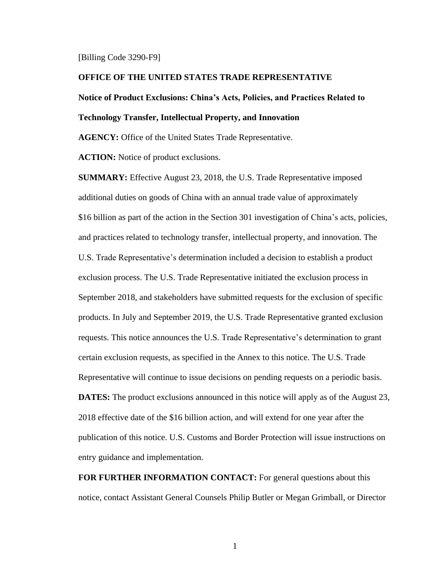#### [Billing Code 3290-F9]

#### **OFFICE OF THE UNITED STATES TRADE REPRESENTATIVE**

# **Notice of Product Exclusions: China's Acts, Policies, and Practices Related to**

# **Technology Transfer, Intellectual Property, and Innovation**

**AGENCY:** Office of the United States Trade Representative.

**ACTION:** Notice of product exclusions.

**SUMMARY:** Effective August 23, 2018, the U.S. Trade Representative imposed additional duties on goods of China with an annual trade value of approximately \$16 billion as part of the action in the Section 301 investigation of China's acts, policies, and practices related to technology transfer, intellectual property, and innovation. The U.S. Trade Representative's determination included a decision to establish a product exclusion process. The U.S. Trade Representative initiated the exclusion process in September 2018, and stakeholders have submitted requests for the exclusion of specific products. In July and September 2019, the U.S. Trade Representative granted exclusion requests. This notice announces the U.S. Trade Representative's determination to grant certain exclusion requests, as specified in the Annex to this notice. The U.S. Trade Representative will continue to issue decisions on pending requests on a periodic basis. **DATES:** The product exclusions announced in this notice will apply as of the August 23, 2018 effective date of the \$16 billion action, and will extend for one year after the publication of this notice. U.S. Customs and Border Protection will issue instructions on entry guidance and implementation.

**FOR FURTHER INFORMATION CONTACT:** For general questions about this notice, contact Assistant General Counsels Philip Butler or Megan Grimball, or Director

1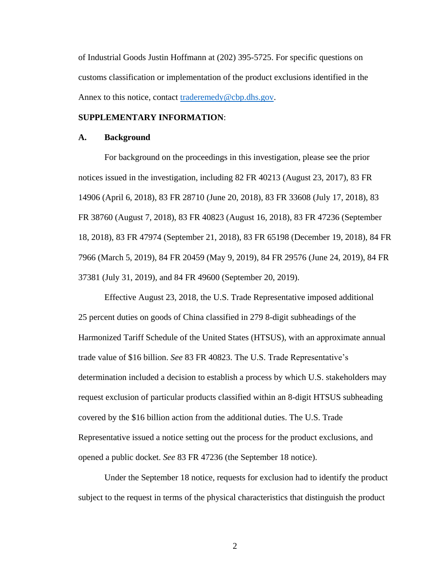of Industrial Goods Justin Hoffmann at (202) 395-5725. For specific questions on customs classification or implementation of the product exclusions identified in the Annex to this notice, contact [traderemedy@cbp.dhs.gov.](mailto:traderemedy@cbp.dhs.gov)

## **SUPPLEMENTARY INFORMATION**:

#### **A. Background**

For background on the proceedings in this investigation, please see the prior notices issued in the investigation, including 82 FR 40213 (August 23, 2017), 83 FR 14906 (April 6, 2018), 83 FR 28710 (June 20, 2018), 83 FR 33608 (July 17, 2018), 83 FR 38760 (August 7, 2018), 83 FR 40823 (August 16, 2018), 83 FR 47236 (September 18, 2018), 83 FR 47974 (September 21, 2018), 83 FR 65198 (December 19, 2018), 84 FR 7966 (March 5, 2019), 84 FR 20459 (May 9, 2019), 84 FR 29576 (June 24, 2019), 84 FR 37381 (July 31, 2019), and 84 FR 49600 (September 20, 2019).

Effective August 23, 2018, the U.S. Trade Representative imposed additional 25 percent duties on goods of China classified in 279 8-digit subheadings of the Harmonized Tariff Schedule of the United States (HTSUS), with an approximate annual trade value of \$16 billion. *See* 83 FR 40823. The U.S. Trade Representative's determination included a decision to establish a process by which U.S. stakeholders may request exclusion of particular products classified within an 8-digit HTSUS subheading covered by the \$16 billion action from the additional duties. The U.S. Trade Representative issued a notice setting out the process for the product exclusions, and opened a public docket. *See* 83 FR 47236 (the September 18 notice).

Under the September 18 notice, requests for exclusion had to identify the product subject to the request in terms of the physical characteristics that distinguish the product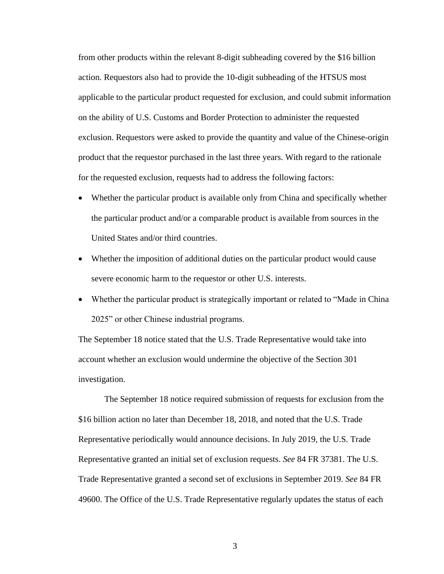from other products within the relevant 8-digit subheading covered by the \$16 billion action. Requestors also had to provide the 10-digit subheading of the HTSUS most applicable to the particular product requested for exclusion, and could submit information on the ability of U.S. Customs and Border Protection to administer the requested exclusion. Requestors were asked to provide the quantity and value of the Chinese-origin product that the requestor purchased in the last three years. With regard to the rationale for the requested exclusion, requests had to address the following factors:

- Whether the particular product is available only from China and specifically whether the particular product and/or a comparable product is available from sources in the United States and/or third countries.
- Whether the imposition of additional duties on the particular product would cause severe economic harm to the requestor or other U.S. interests.
- Whether the particular product is strategically important or related to "Made in China" 2025" or other Chinese industrial programs.

The September 18 notice stated that the U.S. Trade Representative would take into account whether an exclusion would undermine the objective of the Section 301 investigation.

The September 18 notice required submission of requests for exclusion from the \$16 billion action no later than December 18, 2018, and noted that the U.S. Trade Representative periodically would announce decisions. In July 2019, the U.S. Trade Representative granted an initial set of exclusion requests. *See* 84 FR 37381. The U.S. Trade Representative granted a second set of exclusions in September 2019. *See* 84 FR 49600. The Office of the U.S. Trade Representative regularly updates the status of each

3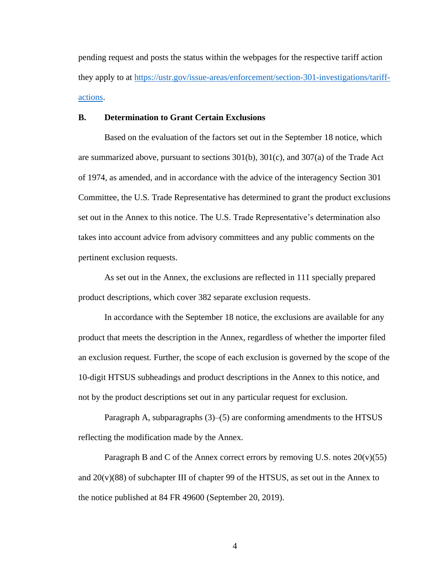pending request and posts the status within the webpages for the respective tariff action they apply to at [https://ustr.gov/issue-areas/enforcement/section-301-investigations/tariff](https://ustr.gov/issue-areas/enforcement/section-301-investigations/tariff-actions)[actions.](https://ustr.gov/issue-areas/enforcement/section-301-investigations/tariff-actions)

### **B. Determination to Grant Certain Exclusions**

Based on the evaluation of the factors set out in the September 18 notice, which are summarized above, pursuant to sections 301(b), 301(c), and 307(a) of the Trade Act of 1974, as amended, and in accordance with the advice of the interagency Section 301 Committee, the U.S. Trade Representative has determined to grant the product exclusions set out in the Annex to this notice. The U.S. Trade Representative's determination also takes into account advice from advisory committees and any public comments on the pertinent exclusion requests.

As set out in the Annex, the exclusions are reflected in 111 specially prepared product descriptions, which cover 382 separate exclusion requests.

In accordance with the September 18 notice, the exclusions are available for any product that meets the description in the Annex, regardless of whether the importer filed an exclusion request. Further, the scope of each exclusion is governed by the scope of the 10-digit HTSUS subheadings and product descriptions in the Annex to this notice, and not by the product descriptions set out in any particular request for exclusion.

Paragraph A, subparagraphs (3)–(5) are conforming amendments to the HTSUS reflecting the modification made by the Annex.

Paragraph B and C of the Annex correct errors by removing U.S. notes  $20(v)(55)$ and  $20(v)(88)$  of subchapter III of chapter 99 of the HTSUS, as set out in the Annex to the notice published at 84 FR 49600 (September 20, 2019).

4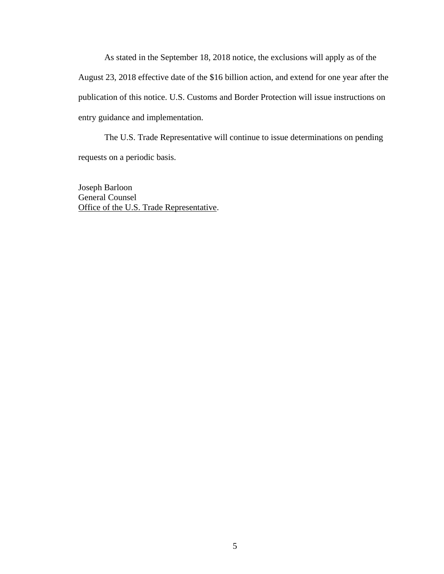As stated in the September 18, 2018 notice, the exclusions will apply as of the August 23, 2018 effective date of the \$16 billion action, and extend for one year after the publication of this notice. U.S. Customs and Border Protection will issue instructions on entry guidance and implementation.

The U.S. Trade Representative will continue to issue determinations on pending requests on a periodic basis.

Joseph Barloon General Counsel Office of the U.S. Trade Representative.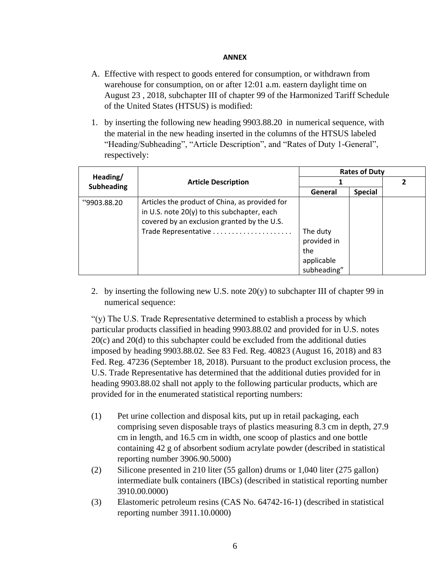# **ANNEX**

- A. Effective with respect to goods entered for consumption, or withdrawn from warehouse for consumption, on or after 12:01 a.m. eastern daylight time on August 23 , 2018, subchapter III of chapter 99 of the Harmonized Tariff Schedule of the United States (HTSUS) is modified:
- 1. by inserting the following new heading 9903.88.20 in numerical sequence, with the material in the new heading inserted in the columns of the HTSUS labeled "Heading/Subheading", "Article Description", and "Rates of Duty 1-General", respectively:

| Heading/<br><b>Subheading</b> | <b>Article Description</b>                                                                                                                     | <b>Rates of Duty</b>             |                |  |
|-------------------------------|------------------------------------------------------------------------------------------------------------------------------------------------|----------------------------------|----------------|--|
|                               |                                                                                                                                                |                                  |                |  |
|                               |                                                                                                                                                | General                          | <b>Special</b> |  |
| "9903.88.20                   | Articles the product of China, as provided for<br>in U.S. note $20(y)$ to this subchapter, each<br>covered by an exclusion granted by the U.S. | The duty<br>provided in          |                |  |
|                               |                                                                                                                                                | the<br>applicable<br>subheading" |                |  |

2. by inserting the following new U.S. note  $20(y)$  to subchapter III of chapter 99 in numerical sequence:

"(y) The U.S. Trade Representative determined to establish a process by which particular products classified in heading 9903.88.02 and provided for in U.S. notes 20(c) and 20(d) to this subchapter could be excluded from the additional duties imposed by heading 9903.88.02. See 83 Fed. Reg. 40823 (August 16, 2018) and 83 Fed. Reg. 47236 (September 18, 2018). Pursuant to the product exclusion process, the U.S. Trade Representative has determined that the additional duties provided for in heading 9903.88.02 shall not apply to the following particular products, which are provided for in the enumerated statistical reporting numbers:

- (1) Pet urine collection and disposal kits, put up in retail packaging, each comprising seven disposable trays of plastics measuring 8.3 cm in depth, 27.9 cm in length, and 16.5 cm in width, one scoop of plastics and one bottle containing 42 g of absorbent sodium acrylate powder (described in statistical reporting number 3906.90.5000)
- (2) Silicone presented in 210 liter (55 gallon) drums or 1,040 liter (275 gallon) intermediate bulk containers (IBCs) (described in statistical reporting number 3910.00.0000)
- (3) Elastomeric petroleum resins (CAS No. 64742-16-1) (described in statistical reporting number 3911.10.0000)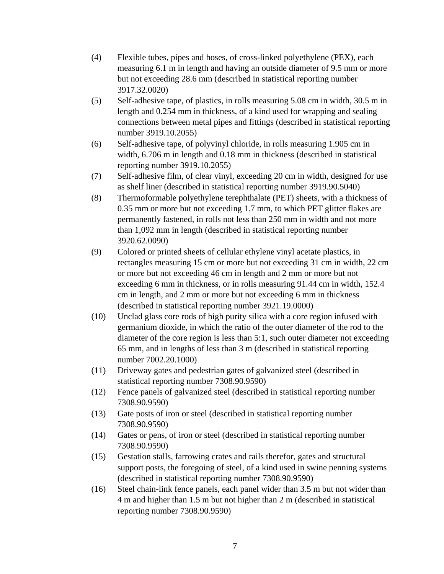- (4) Flexible tubes, pipes and hoses, of cross-linked polyethylene (PEX), each measuring 6.1 m in length and having an outside diameter of 9.5 mm or more but not exceeding 28.6 mm (described in statistical reporting number 3917.32.0020)
- (5) Self-adhesive tape, of plastics, in rolls measuring 5.08 cm in width, 30.5 m in length and 0.254 mm in thickness, of a kind used for wrapping and sealing connections between metal pipes and fittings (described in statistical reporting number 3919.10.2055)
- (6) Self-adhesive tape, of polyvinyl chloride, in rolls measuring 1.905 cm in width, 6.706 m in length and 0.18 mm in thickness (described in statistical reporting number 3919.10.2055)
- (7) Self-adhesive film, of clear vinyl, exceeding 20 cm in width, designed for use as shelf liner (described in statistical reporting number 3919.90.5040)
- (8) Thermoformable polyethylene terephthalate (PET) sheets, with a thickness of 0.35 mm or more but not exceeding 1.7 mm, to which PET glitter flakes are permanently fastened, in rolls not less than 250 mm in width and not more than 1,092 mm in length (described in statistical reporting number 3920.62.0090)
- (9) Colored or printed sheets of cellular ethylene vinyl acetate plastics, in rectangles measuring 15 cm or more but not exceeding 31 cm in width, 22 cm or more but not exceeding 46 cm in length and 2 mm or more but not exceeding 6 mm in thickness, or in rolls measuring 91.44 cm in width, 152.4 cm in length, and 2 mm or more but not exceeding 6 mm in thickness (described in statistical reporting number 3921.19.0000)
- (10) Unclad glass core rods of high purity silica with a core region infused with germanium dioxide, in which the ratio of the outer diameter of the rod to the diameter of the core region is less than 5:1, such outer diameter not exceeding 65 mm, and in lengths of less than 3 m (described in statistical reporting number 7002.20.1000)
- (11) Driveway gates and pedestrian gates of galvanized steel (described in statistical reporting number 7308.90.9590)
- (12) Fence panels of galvanized steel (described in statistical reporting number 7308.90.9590)
- (13) Gate posts of iron or steel (described in statistical reporting number 7308.90.9590)
- (14) Gates or pens, of iron or steel (described in statistical reporting number 7308.90.9590)
- (15) Gestation stalls, farrowing crates and rails therefor, gates and structural support posts, the foregoing of steel, of a kind used in swine penning systems (described in statistical reporting number 7308.90.9590)
- (16) Steel chain-link fence panels, each panel wider than 3.5 m but not wider than 4 m and higher than 1.5 m but not higher than 2 m (described in statistical reporting number 7308.90.9590)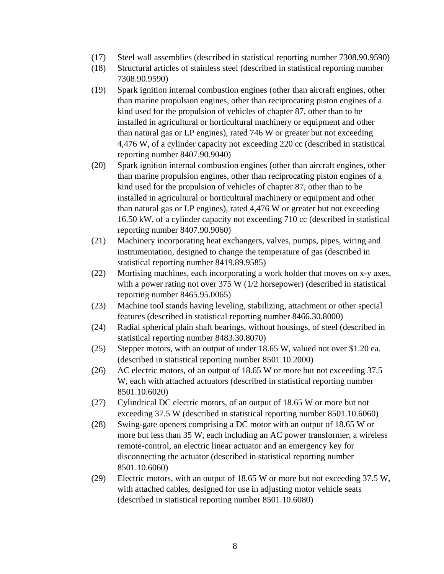- (17) Steel wall assemblies (described in statistical reporting number 7308.90.9590)
- (18) Structural articles of stainless steel (described in statistical reporting number 7308.90.9590)
- (19) Spark ignition internal combustion engines (other than aircraft engines, other than marine propulsion engines, other than reciprocating piston engines of a kind used for the propulsion of vehicles of chapter 87, other than to be installed in agricultural or horticultural machinery or equipment and other than natural gas or LP engines), rated 746 W or greater but not exceeding 4,476 W, of a cylinder capacity not exceeding 220 cc (described in statistical reporting number 8407.90.9040)
- (20) Spark ignition internal combustion engines (other than aircraft engines, other than marine propulsion engines, other than reciprocating piston engines of a kind used for the propulsion of vehicles of chapter 87, other than to be installed in agricultural or horticultural machinery or equipment and other than natural gas or LP engines), rated 4,476 W or greater but not exceeding 16.50 kW, of a cylinder capacity not exceeding 710 cc (described in statistical reporting number 8407.90.9060)
- (21) Machinery incorporating heat exchangers, valves, pumps, pipes, wiring and instrumentation, designed to change the temperature of gas (described in statistical reporting number 8419.89.9585)
- (22) Mortising machines, each incorporating a work holder that moves on x-y axes, with a power rating not over 375 W (1/2 horsepower) (described in statistical reporting number 8465.95.0065)
- (23) Machine tool stands having leveling, stabilizing, attachment or other special features (described in statistical reporting number 8466.30.8000)
- (24) Radial spherical plain shaft bearings, without housings, of steel (described in statistical reporting number 8483.30.8070)
- (25) Stepper motors, with an output of under 18.65 W, valued not over \$1.20 ea. (described in statistical reporting number 8501.10.2000)
- (26) AC electric motors, of an output of 18.65 W or more but not exceeding 37.5 W, each with attached actuators (described in statistical reporting number 8501.10.6020)
- (27) Cylindrical DC electric motors, of an output of 18.65 W or more but not exceeding 37.5 W (described in statistical reporting number 8501.10.6060)
- (28) Swing-gate openers comprising a DC motor with an output of 18.65 W or more but less than 35 W, each including an AC power transformer, a wireless remote-control, an electric linear actuator and an emergency key for disconnecting the actuator (described in statistical reporting number 8501.10.6060)
- (29) Electric motors, with an output of 18.65 W or more but not exceeding 37.5 W, with attached cables, designed for use in adjusting motor vehicle seats (described in statistical reporting number 8501.10.6080)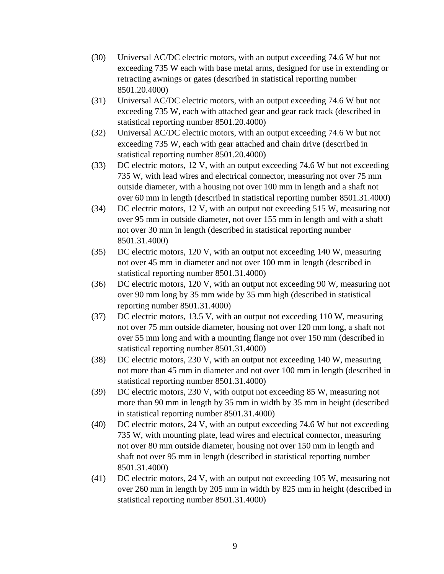- (30) Universal AC/DC electric motors, with an output exceeding 74.6 W but not exceeding 735 W each with base metal arms, designed for use in extending or retracting awnings or gates (described in statistical reporting number 8501.20.4000)
- (31) Universal AC/DC electric motors, with an output exceeding 74.6 W but not exceeding 735 W, each with attached gear and gear rack track (described in statistical reporting number 8501.20.4000)
- (32) Universal AC/DC electric motors, with an output exceeding 74.6 W but not exceeding 735 W, each with gear attached and chain drive (described in statistical reporting number 8501.20.4000)
- (33) DC electric motors, 12 V, with an output exceeding 74.6 W but not exceeding 735 W, with lead wires and electrical connector, measuring not over 75 mm outside diameter, with a housing not over 100 mm in length and a shaft not over 60 mm in length (described in statistical reporting number 8501.31.4000)
- (34) DC electric motors, 12 V, with an output not exceeding 515 W, measuring not over 95 mm in outside diameter, not over 155 mm in length and with a shaft not over 30 mm in length (described in statistical reporting number 8501.31.4000)
- (35) DC electric motors, 120 V, with an output not exceeding 140 W, measuring not over 45 mm in diameter and not over 100 mm in length (described in statistical reporting number 8501.31.4000)
- (36) DC electric motors, 120 V, with an output not exceeding 90 W, measuring not over 90 mm long by 35 mm wide by 35 mm high (described in statistical reporting number 8501.31.4000)
- (37) DC electric motors, 13.5 V, with an output not exceeding 110 W, measuring not over 75 mm outside diameter, housing not over 120 mm long, a shaft not over 55 mm long and with a mounting flange not over 150 mm (described in statistical reporting number 8501.31.4000)
- (38) DC electric motors, 230 V, with an output not exceeding 140 W, measuring not more than 45 mm in diameter and not over 100 mm in length (described in statistical reporting number 8501.31.4000)
- (39) DC electric motors, 230 V, with output not exceeding 85 W, measuring not more than 90 mm in length by 35 mm in width by 35 mm in height (described in statistical reporting number 8501.31.4000)
- (40) DC electric motors, 24 V, with an output exceeding 74.6 W but not exceeding 735 W, with mounting plate, lead wires and electrical connector, measuring not over 80 mm outside diameter, housing not over 150 mm in length and shaft not over 95 mm in length (described in statistical reporting number 8501.31.4000)
- (41) DC electric motors, 24 V, with an output not exceeding 105 W, measuring not over 260 mm in length by 205 mm in width by 825 mm in height (described in statistical reporting number 8501.31.4000)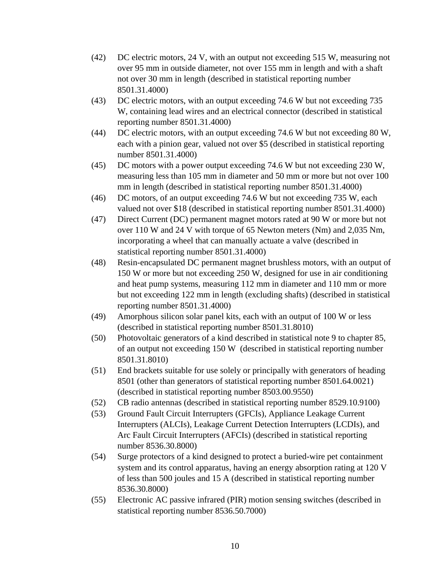- (42) DC electric motors, 24 V, with an output not exceeding 515 W, measuring not over 95 mm in outside diameter, not over 155 mm in length and with a shaft not over 30 mm in length (described in statistical reporting number 8501.31.4000)
- (43) DC electric motors, with an output exceeding 74.6 W but not exceeding 735 W, containing lead wires and an electrical connector (described in statistical reporting number 8501.31.4000)
- (44) DC electric motors, with an output exceeding 74.6 W but not exceeding 80 W, each with a pinion gear, valued not over \$5 (described in statistical reporting number 8501.31.4000)
- (45) DC motors with a power output exceeding 74.6 W but not exceeding 230 W, measuring less than 105 mm in diameter and 50 mm or more but not over 100 mm in length (described in statistical reporting number 8501.31.4000)
- (46) DC motors, of an output exceeding 74.6 W but not exceeding 735 W, each valued not over \$18 (described in statistical reporting number 8501.31.4000)
- (47) Direct Current (DC) permanent magnet motors rated at 90 W or more but not over 110 W and 24 V with torque of 65 Newton meters (Nm) and 2,035 Nm, incorporating a wheel that can manually actuate a valve (described in statistical reporting number 8501.31.4000)
- (48) Resin-encapsulated DC permanent magnet brushless motors, with an output of 150 W or more but not exceeding 250 W, designed for use in air conditioning and heat pump systems, measuring 112 mm in diameter and 110 mm or more but not exceeding 122 mm in length (excluding shafts) (described in statistical reporting number 8501.31.4000)
- (49) Amorphous silicon solar panel kits, each with an output of 100 W or less (described in statistical reporting number 8501.31.8010)
- (50) Photovoltaic generators of a kind described in statistical note 9 to chapter 85, of an output not exceeding 150 W (described in statistical reporting number 8501.31.8010)
- (51) End brackets suitable for use solely or principally with generators of heading 8501 (other than generators of statistical reporting number 8501.64.0021) (described in statistical reporting number 8503.00.9550)
- (52) CB radio antennas (described in statistical reporting number 8529.10.9100)
- (53) Ground Fault Circuit Interrupters (GFCIs), Appliance Leakage Current Interrupters (ALCIs), Leakage Current Detection Interrupters (LCDIs), and Arc Fault Circuit Interrupters (AFCIs) (described in statistical reporting number 8536.30.8000)
- (54) Surge protectors of a kind designed to protect a buried-wire pet containment system and its control apparatus, having an energy absorption rating at 120 V of less than 500 joules and 15 A (described in statistical reporting number 8536.30.8000)
- (55) Electronic AC passive infrared (PIR) motion sensing switches (described in statistical reporting number 8536.50.7000)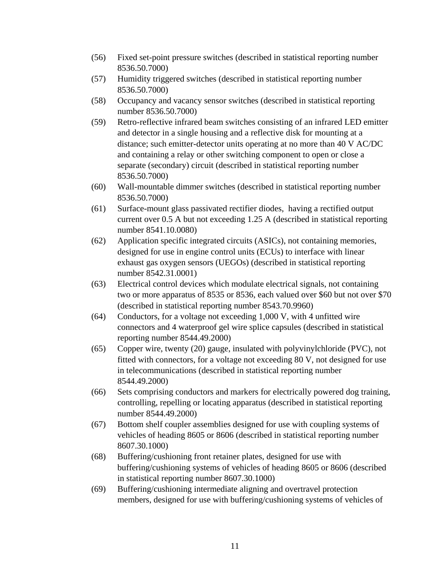- (56) Fixed set-point pressure switches (described in statistical reporting number 8536.50.7000)
- (57) Humidity triggered switches (described in statistical reporting number 8536.50.7000)
- (58) Occupancy and vacancy sensor switches (described in statistical reporting number 8536.50.7000)
- (59) Retro-reflective infrared beam switches consisting of an infrared LED emitter and detector in a single housing and a reflective disk for mounting at a distance; such emitter-detector units operating at no more than 40 V AC/DC and containing a relay or other switching component to open or close a separate (secondary) circuit (described in statistical reporting number 8536.50.7000)
- (60) Wall-mountable dimmer switches (described in statistical reporting number 8536.50.7000)
- (61) Surface-mount glass passivated rectifier diodes, having a rectified output current over 0.5 A but not exceeding 1.25 A (described in statistical reporting number 8541.10.0080)
- (62) Application specific integrated circuits (ASICs), not containing memories, designed for use in engine control units (ECUs) to interface with linear exhaust gas oxygen sensors (UEGOs) (described in statistical reporting number 8542.31.0001)
- (63) Electrical control devices which modulate electrical signals, not containing two or more apparatus of 8535 or 8536, each valued over \$60 but not over \$70 (described in statistical reporting number 8543.70.9960)
- (64) Conductors, for a voltage not exceeding 1,000 V, with 4 unfitted wire connectors and 4 waterproof gel wire splice capsules (described in statistical reporting number 8544.49.2000)
- (65) Copper wire, twenty (20) gauge, insulated with polyvinylchloride (PVC), not fitted with connectors, for a voltage not exceeding 80 V, not designed for use in telecommunications (described in statistical reporting number 8544.49.2000)
- (66) Sets comprising conductors and markers for electrically powered dog training, controlling, repelling or locating apparatus (described in statistical reporting number 8544.49.2000)
- (67) Bottom shelf coupler assemblies designed for use with coupling systems of vehicles of heading 8605 or 8606 (described in statistical reporting number 8607.30.1000)
- (68) Buffering/cushioning front retainer plates, designed for use with buffering/cushioning systems of vehicles of heading 8605 or 8606 (described in statistical reporting number 8607.30.1000)
- (69) Buffering/cushioning intermediate aligning and overtravel protection members, designed for use with buffering/cushioning systems of vehicles of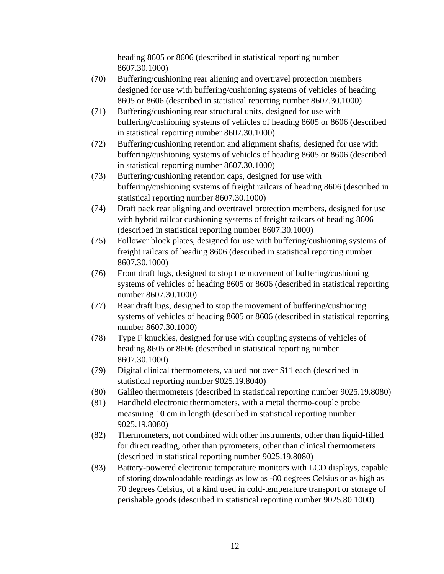heading 8605 or 8606 (described in statistical reporting number 8607.30.1000)

- (70) Buffering/cushioning rear aligning and overtravel protection members designed for use with buffering/cushioning systems of vehicles of heading 8605 or 8606 (described in statistical reporting number 8607.30.1000)
- (71) Buffering/cushioning rear structural units, designed for use with buffering/cushioning systems of vehicles of heading 8605 or 8606 (described in statistical reporting number 8607.30.1000)
- (72) Buffering/cushioning retention and alignment shafts, designed for use with buffering/cushioning systems of vehicles of heading 8605 or 8606 (described in statistical reporting number 8607.30.1000)
- (73) Buffering/cushioning retention caps, designed for use with buffering/cushioning systems of freight railcars of heading 8606 (described in statistical reporting number 8607.30.1000)
- (74) Draft pack rear aligning and overtravel protection members, designed for use with hybrid railcar cushioning systems of freight railcars of heading 8606 (described in statistical reporting number 8607.30.1000)
- (75) Follower block plates, designed for use with buffering/cushioning systems of freight railcars of heading 8606 (described in statistical reporting number 8607.30.1000)
- (76) Front draft lugs, designed to stop the movement of buffering/cushioning systems of vehicles of heading 8605 or 8606 (described in statistical reporting number 8607.30.1000)
- (77) Rear draft lugs, designed to stop the movement of buffering/cushioning systems of vehicles of heading 8605 or 8606 (described in statistical reporting number 8607.30.1000)
- (78) Type F knuckles, designed for use with coupling systems of vehicles of heading 8605 or 8606 (described in statistical reporting number 8607.30.1000)
- (79) Digital clinical thermometers, valued not over \$11 each (described in statistical reporting number 9025.19.8040)
- (80) Galileo thermometers (described in statistical reporting number 9025.19.8080)
- (81) Handheld electronic thermometers, with a metal thermo-couple probe measuring 10 cm in length (described in statistical reporting number 9025.19.8080)
- (82) Thermometers, not combined with other instruments, other than liquid-filled for direct reading, other than pyrometers, other than clinical thermometers (described in statistical reporting number 9025.19.8080)
- (83) Battery-powered electronic temperature monitors with LCD displays, capable of storing downloadable readings as low as -80 degrees Celsius or as high as 70 degrees Celsius, of a kind used in cold-temperature transport or storage of perishable goods (described in statistical reporting number 9025.80.1000)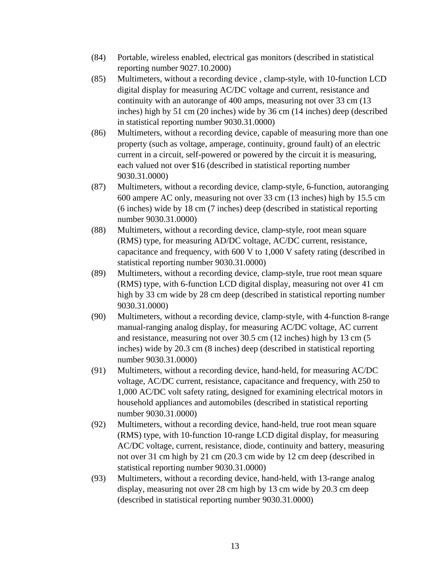- (84) Portable, wireless enabled, electrical gas monitors (described in statistical reporting number 9027.10.2000)
- (85) Multimeters, without a recording device , clamp-style, with 10-function LCD digital display for measuring AC/DC voltage and current, resistance and continuity with an autorange of 400 amps, measuring not over 33 cm (13 inches) high by 51 cm (20 inches) wide by 36 cm (14 inches) deep (described in statistical reporting number 9030.31.0000)
- (86) Multimeters, without a recording device, capable of measuring more than one property (such as voltage, amperage, continuity, ground fault) of an electric current in a circuit, self-powered or powered by the circuit it is measuring, each valued not over \$16 (described in statistical reporting number 9030.31.0000)
- (87) Multimeters, without a recording device, clamp-style, 6-function, autoranging 600 ampere AC only, measuring not over 33 cm (13 inches) high by 15.5 cm (6 inches) wide by 18 cm (7 inches) deep (described in statistical reporting number 9030.31.0000)
- (88) Multimeters, without a recording device, clamp-style, root mean square (RMS) type, for measuring AD/DC voltage, AC/DC current, resistance, capacitance and frequency, with 600 V to 1,000 V safety rating (described in statistical reporting number 9030.31.0000)
- (89) Multimeters, without a recording device, clamp-style, true root mean square (RMS) type, with 6-function LCD digital display, measuring not over 41 cm high by 33 cm wide by 28 cm deep (described in statistical reporting number 9030.31.0000)
- (90) Multimeters, without a recording device, clamp-style, with 4-function 8-range manual-ranging analog display, for measuring AC/DC voltage, AC current and resistance, measuring not over 30.5 cm (12 inches) high by 13 cm (5 inches) wide by 20.3 cm (8 inches) deep (described in statistical reporting number 9030.31.0000)
- (91) Multimeters, without a recording device, hand-held, for measuring AC/DC voltage, AC/DC current, resistance, capacitance and frequency, with 250 to 1,000 AC/DC volt safety rating, designed for examining electrical motors in household appliances and automobiles (described in statistical reporting number 9030.31.0000)
- (92) Multimeters, without a recording device, hand-held, true root mean square (RMS) type, with 10-function 10-range LCD digital display, for measuring AC/DC voltage, current, resistance, diode, continuity and battery, measuring not over 31 cm high by 21 cm (20.3 cm wide by 12 cm deep (described in statistical reporting number 9030.31.0000)
- (93) Multimeters, without a recording device, hand-held, with 13-range analog display, measuring not over 28 cm high by 13 cm wide by 20.3 cm deep (described in statistical reporting number 9030.31.0000)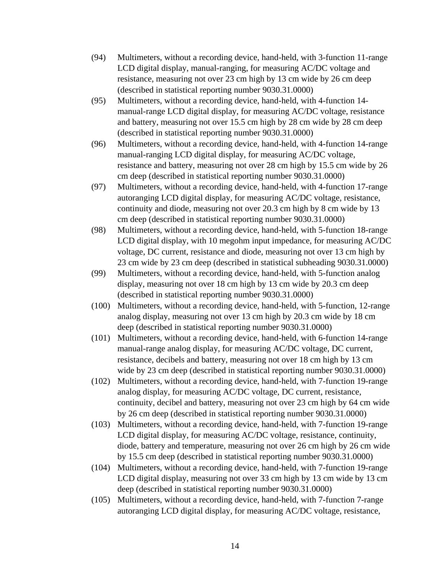- (94) Multimeters, without a recording device, hand-held, with 3-function 11-range LCD digital display, manual-ranging, for measuring AC/DC voltage and resistance, measuring not over 23 cm high by 13 cm wide by 26 cm deep (described in statistical reporting number 9030.31.0000)
- (95) Multimeters, without a recording device, hand-held, with 4-function 14 manual-range LCD digital display, for measuring AC/DC voltage, resistance and battery, measuring not over 15.5 cm high by 28 cm wide by 28 cm deep (described in statistical reporting number 9030.31.0000)
- (96) Multimeters, without a recording device, hand-held, with 4-function 14-range manual-ranging LCD digital display, for measuring AC/DC voltage, resistance and battery, measuring not over 28 cm high by 15.5 cm wide by 26 cm deep (described in statistical reporting number 9030.31.0000)
- (97) Multimeters, without a recording device, hand-held, with 4-function 17-range autoranging LCD digital display, for measuring AC/DC voltage, resistance, continuity and diode, measuring not over 20.3 cm high by 8 cm wide by 13 cm deep (described in statistical reporting number 9030.31.0000)
- (98) Multimeters, without a recording device, hand-held, with 5-function 18-range LCD digital display, with 10 megohm input impedance, for measuring AC/DC voltage, DC current, resistance and diode, measuring not over 13 cm high by 23 cm wide by 23 cm deep (described in statistical subheading 9030.31.0000)
- (99) Multimeters, without a recording device, hand-held, with 5-function analog display, measuring not over 18 cm high by 13 cm wide by 20.3 cm deep (described in statistical reporting number 9030.31.0000)
- (100) Multimeters, without a recording device, hand-held, with 5-function, 12-range analog display, measuring not over 13 cm high by 20.3 cm wide by 18 cm deep (described in statistical reporting number 9030.31.0000)
- (101) Multimeters, without a recording device, hand-held, with 6-function 14-range manual-range analog display, for measuring AC/DC voltage, DC current, resistance, decibels and battery, measuring not over 18 cm high by 13 cm wide by 23 cm deep (described in statistical reporting number 9030.31.0000)
- (102) Multimeters, without a recording device, hand-held, with 7-function 19-range analog display, for measuring AC/DC voltage, DC current, resistance, continuity, decibel and battery, measuring not over 23 cm high by 64 cm wide by 26 cm deep (described in statistical reporting number 9030.31.0000)
- (103) Multimeters, without a recording device, hand-held, with 7-function 19-range LCD digital display, for measuring AC/DC voltage, resistance, continuity, diode, battery and temperature, measuring not over 26 cm high by 26 cm wide by 15.5 cm deep (described in statistical reporting number 9030.31.0000)
- (104) Multimeters, without a recording device, hand-held, with 7-function 19-range LCD digital display, measuring not over 33 cm high by 13 cm wide by 13 cm deep (described in statistical reporting number 9030.31.0000)
- (105) Multimeters, without a recording device, hand-held, with 7-function 7-range autoranging LCD digital display, for measuring AC/DC voltage, resistance,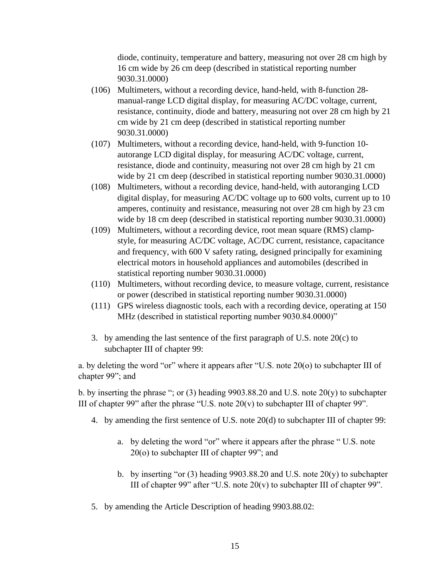diode, continuity, temperature and battery, measuring not over 28 cm high by 16 cm wide by 26 cm deep (described in statistical reporting number 9030.31.0000)

- (106) Multimeters, without a recording device, hand-held, with 8-function 28 manual-range LCD digital display, for measuring AC/DC voltage, current, resistance, continuity, diode and battery, measuring not over 28 cm high by 21 cm wide by 21 cm deep (described in statistical reporting number 9030.31.0000)
- (107) Multimeters, without a recording device, hand-held, with 9-function 10 autorange LCD digital display, for measuring AC/DC voltage, current, resistance, diode and continuity, measuring not over 28 cm high by 21 cm wide by 21 cm deep (described in statistical reporting number 9030.31.0000)
- (108) Multimeters, without a recording device, hand-held, with autoranging LCD digital display, for measuring AC/DC voltage up to 600 volts, current up to 10 amperes, continuity and resistance, measuring not over 28 cm high by 23 cm wide by 18 cm deep (described in statistical reporting number 9030.31.0000)
- (109) Multimeters, without a recording device, root mean square (RMS) clampstyle, for measuring AC/DC voltage, AC/DC current, resistance, capacitance and frequency, with 600 V safety rating, designed principally for examining electrical motors in household appliances and automobiles (described in statistical reporting number 9030.31.0000)
- (110) Multimeters, without recording device, to measure voltage, current, resistance or power (described in statistical reporting number 9030.31.0000)
- (111) GPS wireless diagnostic tools, each with a recording device, operating at 150 MHz (described in statistical reporting number 9030.84.0000)"
- 3. by amending the last sentence of the first paragraph of U.S. note 20(c) to subchapter III of chapter 99:

a. by deleting the word "or" where it appears after "U.S. note 20(o) to subchapter III of chapter 99"; and

b. by inserting the phrase "; or (3) heading 9903.88.20 and U.S. note 20(y) to subchapter III of chapter 99" after the phrase "U.S. note  $20(v)$  to subchapter III of chapter 99".

- 4. by amending the first sentence of U.S. note 20(d) to subchapter III of chapter 99:
	- a. by deleting the word "or" where it appears after the phrase " U.S. note 20(o) to subchapter III of chapter 99"; and
	- b. by inserting "or (3) heading 9903.88.20 and U.S. note 20(y) to subchapter III of chapter 99" after "U.S. note  $20(v)$  to subchapter III of chapter 99".
- 5. by amending the Article Description of heading 9903.88.02: